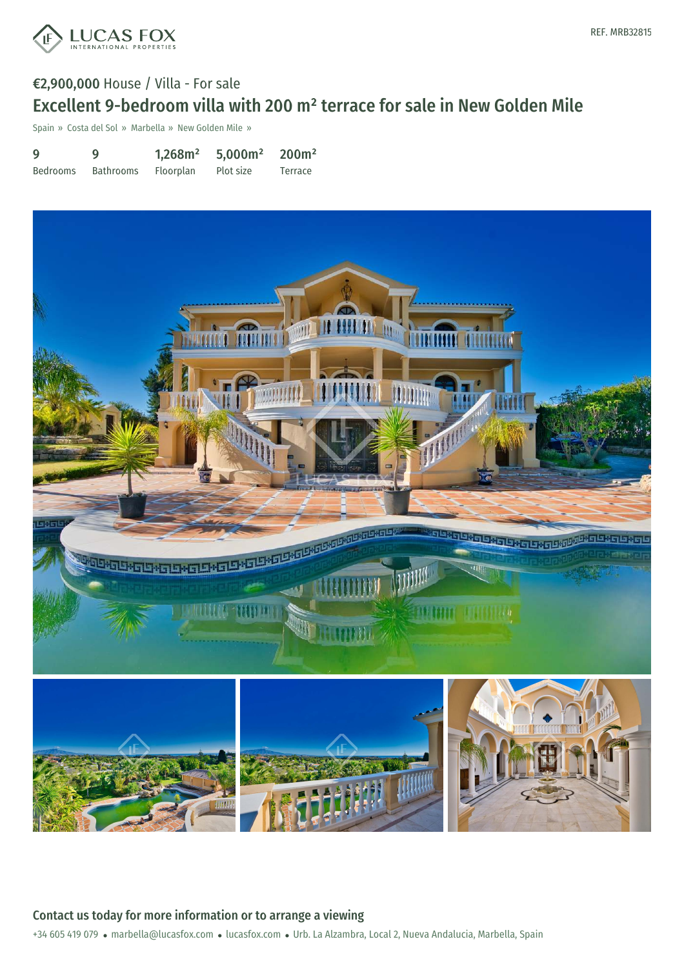

## €2,900,000 House / Villa - For sale Excellent 9-bedroom villa with 200 m² terrace for sale in New Golden Mile

Spain » Costa del Sol » Marbella » New Golden Mile »

9 Bedrooms 9 Bathrooms 1,268m² Floorplan 5,000m² Plot size 200m² Terrace



Contact us today for more information or to arrange a viewing

+34 605 419 079 · marbella@lucasfox.com · lucasfox.com · Urb. La Alzambra, Local 2, Nueva Andalucia, Marbella, Spain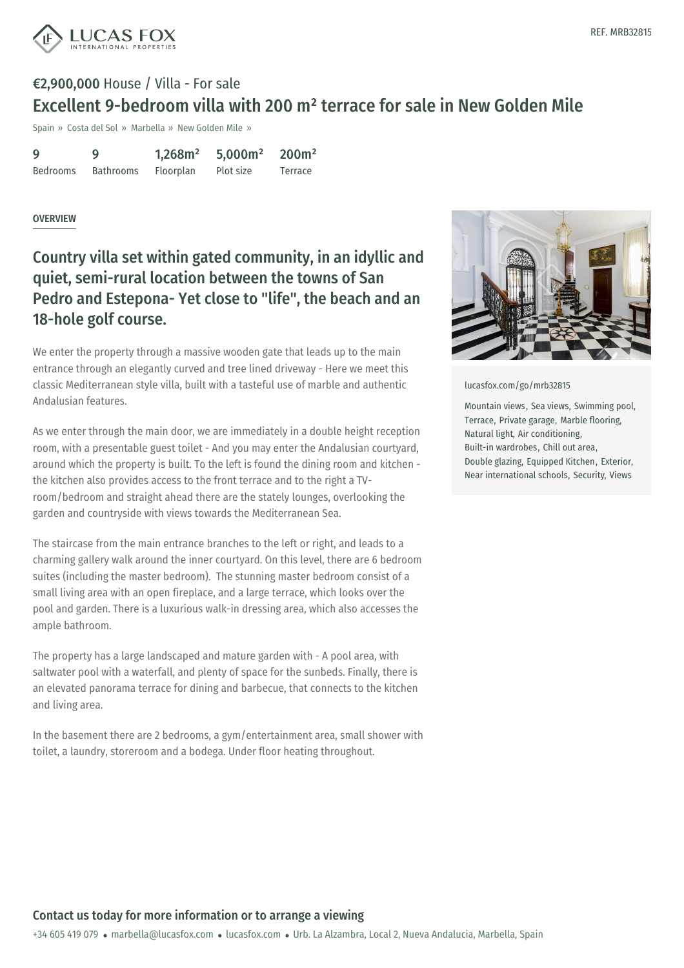

# €2,900,000 House / Villa - For sale Excellent 9-bedroom villa with 200 m² terrace for sale in New Golden Mile

Spain » Costa del Sol » Marbella » New Golden Mile »

| 9               | Q         | 1,268m <sup>2</sup> | 5,000m <sup>2</sup> | 200m <sup>2</sup> |
|-----------------|-----------|---------------------|---------------------|-------------------|
| <b>Bedrooms</b> | Bathrooms | Floorplan           | Plot size           | Terrace           |

#### **OVERVIEW**

Country villa set within gated community, in an idyllic and quiet, semi-rural location between the towns of San Pedro and Estepona- Yet close to "life", the beach and an 18-hole golf course.

We enter the property through a massive wooden gate that leads up to the main entrance through an elegantly curved and tree lined driveway - Here we meet this classic Mediterranean style villa, built with a tasteful use of marble and authentic Andalusian features.

As we enter through the main door, we are immediately in a double height reception room, with a presentable guest toilet - And you may enter the Andalusian courtyard, around which the property is built. To the left is found the dining room and kitchen the kitchen also provides access to the front terrace and to the right a TVroom/bedroom and straight ahead there are the stately lounges, overlooking the garden and countryside with views towards the Mediterranean Sea.

The staircase from the main entrance branches to the left or right, and leads to a charming gallery walk around the inner courtyard. On this level, there are 6 bedroom suites (including the master bedroom). The stunning master bedroom consist of a small living area with an open fireplace, and a large terrace, which looks over the pool and garden. There is a luxurious walk-in dressing area, which also accesses the ample bathroom.

The property has a large landscaped and mature garden with - A pool area, with saltwater pool with a waterfall, and plenty of space for the sunbeds. Finally, there is an elevated panorama terrace for dining and barbecue, that connects to the kitchen and living area.

In the basement there are 2 [bedrooms,](mailto:marbella@lucasfox.com) a [gym/entertai](https://www.lucasfox.com)nment area, small shower with toilet, a laundry, storeroom and a bodega. Under floor heating throughout.



[lucasfox.com/go/mrb32815](https://www.lucasfox.com/go/mrb32815)

Mountain views, Sea views, Swimming pool, Terrace, Private garage, Marble flooring, Natural light, Air conditioning, Built-in wardrobes, Chill out area, Double glazing, Equipped Kitchen, Exterior, Near international schools, Security, Views